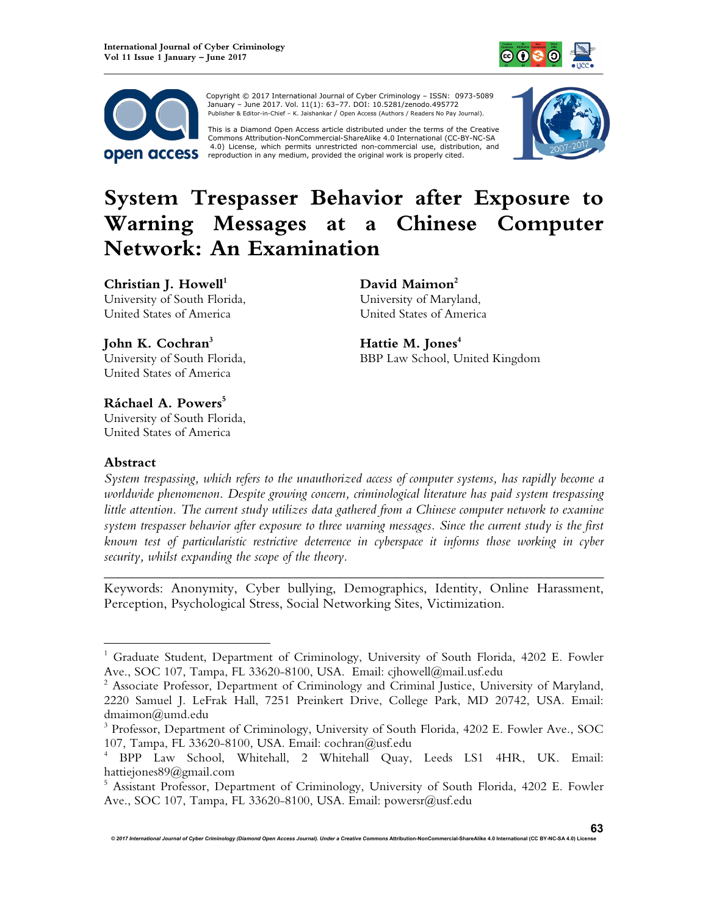



Copyright © 2017 International Journal of Cyber Criminology – ISSN: 0973-5089 January – June 2017. Vol. 11(1): 63–77. DOI: 10.5281/zenodo.495772 Publisher & Editor-in-Chief – K. Jaishankar / Open Access (Authors / Readers No Pay Journal).

This is a Diamond Open Access article distributed under the terms of the Creative<br>Commons Attribution-NonCommercial-ShareAlike 4.0 International (CC-BY-NC-SA 4.0) License, which permits unrestricted non-commercial use, distribution, and reproduction in any medium, provided the original work is properly cited.



# **System Trespasser Behavior after Exposure to Warning Messages at a Chinese Computer Network: An Examination**

**Christian J. Howell<sup>1</sup>** University of South Florida, United States of America

**John K. Cochran<sup>3</sup>**

**David Maimon<sup>2</sup>** University of Maryland, United States of America

**Hattie M. Jones<sup>4</sup>** BBP Law School, United Kingdom

University of South Florida, United States of America

**Ráchael A. Powers<sup>5</sup>** University of South Florida, United States of America

# **Abstract**

 $\overline{a}$ 

*System trespassing, which refers to the unauthorized access of computer systems, has rapidly become a worldwide phenomenon. Despite growing concern, criminological literature has paid system trespassing*  little attention. The current study utilizes data gathered from a Chinese computer network to examine *system trespasser behavior after exposure to three warning messages. Since the current study is the first known test of particularistic restrictive deterrence in cyberspace it informs those working in cyber security, whilst expanding the scope of the theory.*

Keywords: Anonymity, Cyber bullying, Demographics, Identity, Online Harassment, Perception, Psychological Stress, Social Networking Sites, Victimization.

*\_\_\_\_\_\_\_\_\_\_\_\_\_\_\_\_\_\_\_\_\_\_\_\_\_\_\_\_\_\_\_\_\_\_\_\_\_\_\_\_\_\_\_\_\_\_\_\_\_\_\_\_\_\_\_\_\_\_\_\_\_\_\_\_\_\_\_\_\_\_\_\_* 

<sup>&</sup>lt;sup>1</sup> Graduate Student, Department of Criminology, University of South Florida, 4202 E. Fowler Ave., SOC 107, Tampa, FL 33620-8100, USA. Email: cjhowell@mail.usf.edu

<sup>&</sup>lt;sup>2</sup> Associate Professor, Department of Criminology and Criminal Justice, University of Maryland, 2220 Samuel J. LeFrak Hall, 7251 Preinkert Drive, College Park, MD 20742, USA. Email: dmaimon@umd.edu

<sup>3</sup> Professor, Department of Criminology, University of South Florida, 4202 E. Fowler Ave., SOC 107, Tampa, FL 33620-8100, USA. Email: cochran@usf.edu

<sup>4</sup> BPP Law School, Whitehall, 2 Whitehall Quay, Leeds LS1 4HR, UK. Email: hattiejones89@gmail.com

<sup>&</sup>lt;sup>5</sup> Assistant Professor, Department of Criminology, University of South Florida, 4202 E. Fowler Ave., SOC 107, Tampa, FL 33620-8100, USA. Email: powersr@usf.edu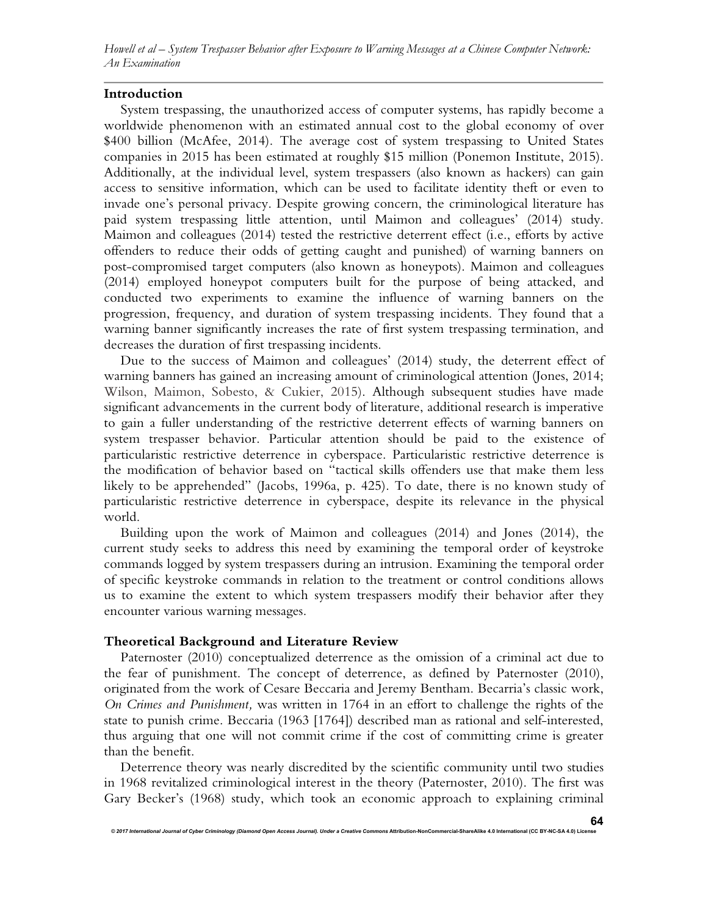*Howell et al – System Trespasser Behavior after Exposure to Warning Messages at a Chinese Computer Network: An Examination* 

## **Introduction**

System trespassing, the unauthorized access of computer systems, has rapidly become a worldwide phenomenon with an estimated annual cost to the global economy of over \$400 billion (McAfee, 2014). The average cost of system trespassing to United States companies in 2015 has been estimated at roughly \$15 million (Ponemon Institute, 2015). Additionally, at the individual level, system trespassers (also known as hackers) can gain access to sensitive information, which can be used to facilitate identity theft or even to invade one's personal privacy. Despite growing concern, the criminological literature has paid system trespassing little attention, until Maimon and colleagues' (2014) study. Maimon and colleagues (2014) tested the restrictive deterrent effect (i.e., efforts by active offenders to reduce their odds of getting caught and punished) of warning banners on post-compromised target computers (also known as honeypots). Maimon and colleagues (2014) employed honeypot computers built for the purpose of being attacked, and conducted two experiments to examine the influence of warning banners on the progression, frequency, and duration of system trespassing incidents. They found that a warning banner significantly increases the rate of first system trespassing termination, and decreases the duration of first trespassing incidents.

Due to the success of Maimon and colleagues' (2014) study, the deterrent effect of warning banners has gained an increasing amount of criminological attention (Jones, 2014; Wilson, Maimon, Sobesto, & Cukier, 2015). Although subsequent studies have made significant advancements in the current body of literature, additional research is imperative to gain a fuller understanding of the restrictive deterrent effects of warning banners on system trespasser behavior. Particular attention should be paid to the existence of particularistic restrictive deterrence in cyberspace. Particularistic restrictive deterrence is the modification of behavior based on "tactical skills offenders use that make them less likely to be apprehended" (Jacobs, 1996a, p. 425). To date, there is no known study of particularistic restrictive deterrence in cyberspace, despite its relevance in the physical world.

Building upon the work of Maimon and colleagues (2014) and Jones (2014), the current study seeks to address this need by examining the temporal order of keystroke commands logged by system trespassers during an intrusion. Examining the temporal order of specific keystroke commands in relation to the treatment or control conditions allows us to examine the extent to which system trespassers modify their behavior after they encounter various warning messages.

## **Theoretical Background and Literature Review**

Paternoster (2010) conceptualized deterrence as the omission of a criminal act due to the fear of punishment. The concept of deterrence, as defined by Paternoster (2010), originated from the work of Cesare Beccaria and Jeremy Bentham. Becarria's classic work, *On Crimes and Punishment,* was written in 1764 in an effort to challenge the rights of the state to punish crime. Beccaria (1963 [1764]) described man as rational and self-interested, thus arguing that one will not commit crime if the cost of committing crime is greater than the benefit.

Deterrence theory was nearly discredited by the scientific community until two studies in 1968 revitalized criminological interest in the theory (Paternoster, 2010). The first was Gary Becker's (1968) study, which took an economic approach to explaining criminal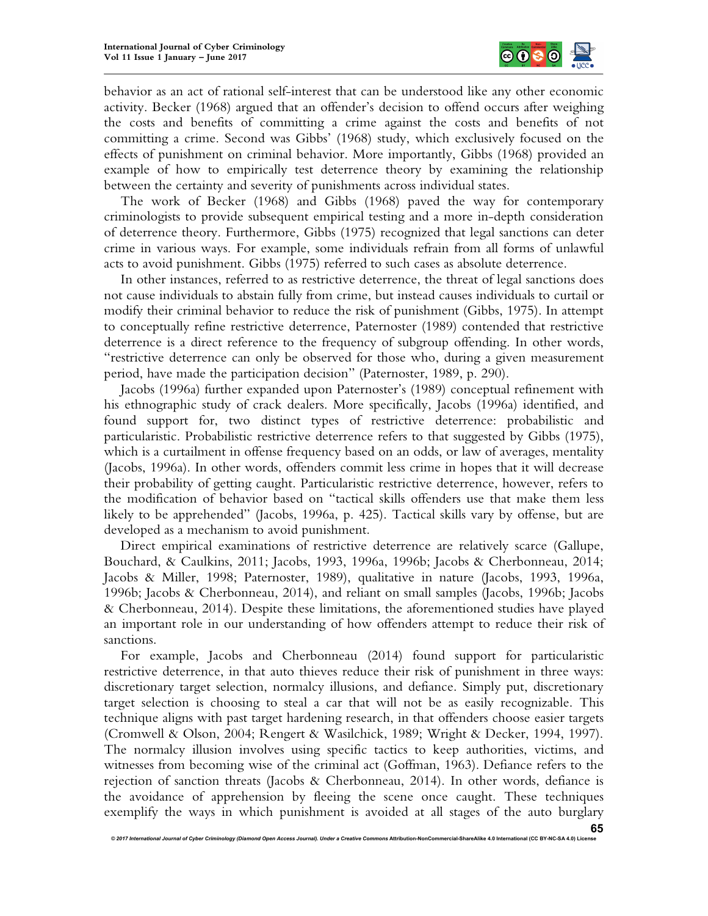

behavior as an act of rational self-interest that can be understood like any other economic activity. Becker (1968) argued that an offender's decision to offend occurs after weighing the costs and benefits of committing a crime against the costs and benefits of not committing a crime. Second was Gibbs' (1968) study, which exclusively focused on the effects of punishment on criminal behavior. More importantly, Gibbs (1968) provided an example of how to empirically test deterrence theory by examining the relationship between the certainty and severity of punishments across individual states.

The work of Becker (1968) and Gibbs (1968) paved the way for contemporary criminologists to provide subsequent empirical testing and a more in-depth consideration of deterrence theory. Furthermore, Gibbs (1975) recognized that legal sanctions can deter crime in various ways. For example, some individuals refrain from all forms of unlawful acts to avoid punishment. Gibbs (1975) referred to such cases as absolute deterrence.

In other instances, referred to as restrictive deterrence, the threat of legal sanctions does not cause individuals to abstain fully from crime, but instead causes individuals to curtail or modify their criminal behavior to reduce the risk of punishment (Gibbs, 1975). In attempt to conceptually refine restrictive deterrence, Paternoster (1989) contended that restrictive deterrence is a direct reference to the frequency of subgroup offending. In other words, "restrictive deterrence can only be observed for those who, during a given measurement period, have made the participation decision" (Paternoster, 1989, p. 290).

Jacobs (1996a) further expanded upon Paternoster's (1989) conceptual refinement with his ethnographic study of crack dealers. More specifically, Jacobs (1996a) identified, and found support for, two distinct types of restrictive deterrence: probabilistic and particularistic. Probabilistic restrictive deterrence refers to that suggested by Gibbs (1975), which is a curtailment in offense frequency based on an odds, or law of averages, mentality (Jacobs, 1996a). In other words, offenders commit less crime in hopes that it will decrease their probability of getting caught. Particularistic restrictive deterrence, however, refers to the modification of behavior based on "tactical skills offenders use that make them less likely to be apprehended" (Jacobs, 1996a, p. 425). Tactical skills vary by offense, but are developed as a mechanism to avoid punishment.

Direct empirical examinations of restrictive deterrence are relatively scarce (Gallupe, Bouchard, & Caulkins, 2011; Jacobs, 1993, 1996a, 1996b; Jacobs & Cherbonneau, 2014; Jacobs & Miller, 1998; Paternoster, 1989), qualitative in nature (Jacobs, 1993, 1996a, 1996b; Jacobs & Cherbonneau, 2014), and reliant on small samples (Jacobs, 1996b; Jacobs & Cherbonneau, 2014). Despite these limitations, the aforementioned studies have played an important role in our understanding of how offenders attempt to reduce their risk of sanctions.

For example, Jacobs and Cherbonneau (2014) found support for particularistic restrictive deterrence, in that auto thieves reduce their risk of punishment in three ways: discretionary target selection, normalcy illusions, and defiance. Simply put, discretionary target selection is choosing to steal a car that will not be as easily recognizable. This technique aligns with past target hardening research, in that offenders choose easier targets (Cromwell & Olson, 2004; Rengert & Wasilchick, 1989; Wright & Decker, 1994, 1997). The normalcy illusion involves using specific tactics to keep authorities, victims, and witnesses from becoming wise of the criminal act (Goffman, 1963). Defiance refers to the rejection of sanction threats (Jacobs & Cherbonneau, 2014). In other words, defiance is the avoidance of apprehension by fleeing the scene once caught. These techniques exemplify the ways in which punishment is avoided at all stages of the auto burglary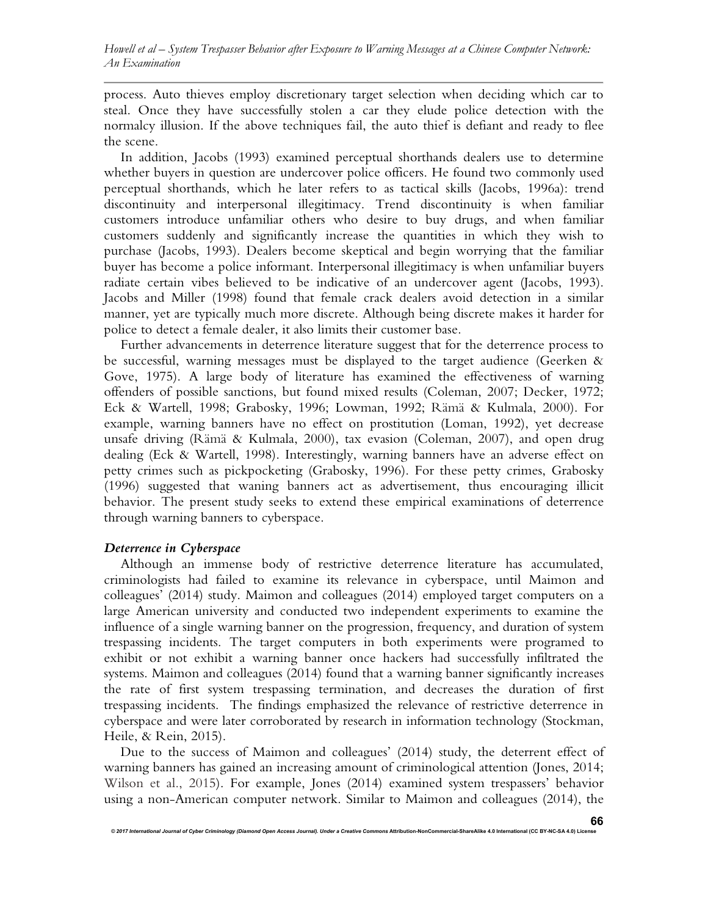process. Auto thieves employ discretionary target selection when deciding which car to steal. Once they have successfully stolen a car they elude police detection with the normalcy illusion. If the above techniques fail, the auto thief is defiant and ready to flee the scene.

In addition, Jacobs (1993) examined perceptual shorthands dealers use to determine whether buyers in question are undercover police officers. He found two commonly used perceptual shorthands, which he later refers to as tactical skills (Jacobs, 1996a): trend discontinuity and interpersonal illegitimacy. Trend discontinuity is when familiar customers introduce unfamiliar others who desire to buy drugs, and when familiar customers suddenly and significantly increase the quantities in which they wish to purchase (Jacobs, 1993). Dealers become skeptical and begin worrying that the familiar buyer has become a police informant. Interpersonal illegitimacy is when unfamiliar buyers radiate certain vibes believed to be indicative of an undercover agent (Jacobs, 1993). Jacobs and Miller (1998) found that female crack dealers avoid detection in a similar manner, yet are typically much more discrete. Although being discrete makes it harder for police to detect a female dealer, it also limits their customer base.

Further advancements in deterrence literature suggest that for the deterrence process to be successful, warning messages must be displayed to the target audience (Geerken & Gove, 1975). A large body of literature has examined the effectiveness of warning offenders of possible sanctions, but found mixed results (Coleman, 2007; Decker, 1972; Eck & Wartell, 1998; Grabosky, 1996; Lowman, 1992; Rämä & Kulmala, 2000). For example, warning banners have no effect on prostitution (Loman, 1992), yet decrease unsafe driving (Rämä & Kulmala, 2000), tax evasion (Coleman, 2007), and open drug dealing (Eck & Wartell, 1998). Interestingly, warning banners have an adverse effect on petty crimes such as pickpocketing (Grabosky, 1996). For these petty crimes, Grabosky (1996) suggested that waning banners act as advertisement, thus encouraging illicit behavior. The present study seeks to extend these empirical examinations of deterrence through warning banners to cyberspace.

# *Deterrence in Cyberspace*

Although an immense body of restrictive deterrence literature has accumulated, criminologists had failed to examine its relevance in cyberspace, until Maimon and colleagues' (2014) study. Maimon and colleagues (2014) employed target computers on a large American university and conducted two independent experiments to examine the influence of a single warning banner on the progression, frequency, and duration of system trespassing incidents. The target computers in both experiments were programed to exhibit or not exhibit a warning banner once hackers had successfully infiltrated the systems. Maimon and colleagues (2014) found that a warning banner significantly increases the rate of first system trespassing termination, and decreases the duration of first trespassing incidents. The findings emphasized the relevance of restrictive deterrence in cyberspace and were later corroborated by research in information technology (Stockman, Heile, & Rein, 2015).

Due to the success of Maimon and colleagues' (2014) study, the deterrent effect of warning banners has gained an increasing amount of criminological attention (Jones, 2014; Wilson et al., 2015). For example, Jones (2014) examined system trespassers' behavior using a non-American computer network. Similar to Maimon and colleagues (2014), the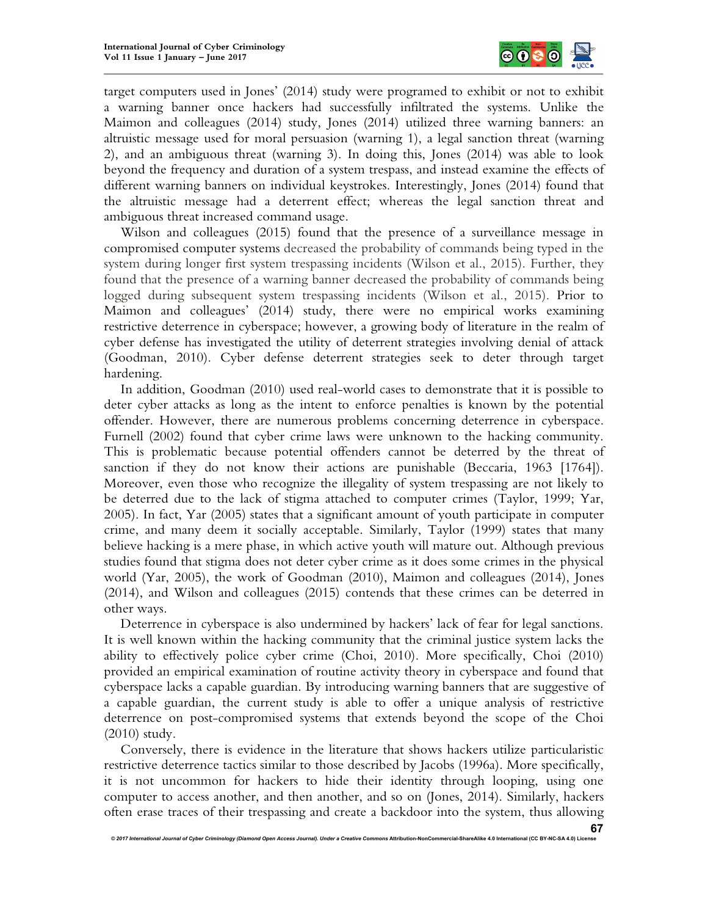

target computers used in Jones' (2014) study were programed to exhibit or not to exhibit a warning banner once hackers had successfully infiltrated the systems. Unlike the Maimon and colleagues (2014) study, Jones (2014) utilized three warning banners: an altruistic message used for moral persuasion (warning 1), a legal sanction threat (warning 2), and an ambiguous threat (warning 3). In doing this, Jones (2014) was able to look beyond the frequency and duration of a system trespass, and instead examine the effects of different warning banners on individual keystrokes. Interestingly, Jones (2014) found that the altruistic message had a deterrent effect; whereas the legal sanction threat and ambiguous threat increased command usage.

Wilson and colleagues (2015) found that the presence of a surveillance message in compromised computer systems decreased the probability of commands being typed in the system during longer first system trespassing incidents (Wilson et al., 2015). Further, they found that the presence of a warning banner decreased the probability of commands being logged during subsequent system trespassing incidents (Wilson et al., 2015). Prior to Maimon and colleagues' (2014) study, there were no empirical works examining restrictive deterrence in cyberspace; however, a growing body of literature in the realm of cyber defense has investigated the utility of deterrent strategies involving denial of attack (Goodman, 2010). Cyber defense deterrent strategies seek to deter through target hardening.

In addition, Goodman (2010) used real-world cases to demonstrate that it is possible to deter cyber attacks as long as the intent to enforce penalties is known by the potential offender. However, there are numerous problems concerning deterrence in cyberspace. Furnell (2002) found that cyber crime laws were unknown to the hacking community. This is problematic because potential offenders cannot be deterred by the threat of sanction if they do not know their actions are punishable (Beccaria, 1963 [1764]). Moreover, even those who recognize the illegality of system trespassing are not likely to be deterred due to the lack of stigma attached to computer crimes (Taylor, 1999; Yar, 2005). In fact, Yar (2005) states that a significant amount of youth participate in computer crime, and many deem it socially acceptable. Similarly, Taylor (1999) states that many believe hacking is a mere phase, in which active youth will mature out. Although previous studies found that stigma does not deter cyber crime as it does some crimes in the physical world (Yar, 2005), the work of Goodman (2010), Maimon and colleagues (2014), Jones (2014), and Wilson and colleagues (2015) contends that these crimes can be deterred in other ways.

Deterrence in cyberspace is also undermined by hackers' lack of fear for legal sanctions. It is well known within the hacking community that the criminal justice system lacks the ability to effectively police cyber crime (Choi, 2010). More specifically, Choi (2010) provided an empirical examination of routine activity theory in cyberspace and found that cyberspace lacks a capable guardian. By introducing warning banners that are suggestive of a capable guardian, the current study is able to offer a unique analysis of restrictive deterrence on post-compromised systems that extends beyond the scope of the Choi (2010) study.

Conversely, there is evidence in the literature that shows hackers utilize particularistic restrictive deterrence tactics similar to those described by Jacobs (1996a). More specifically, it is not uncommon for hackers to hide their identity through looping, using one computer to access another, and then another, and so on (Jones, 2014). Similarly, hackers often erase traces of their trespassing and create a backdoor into the system, thus allowing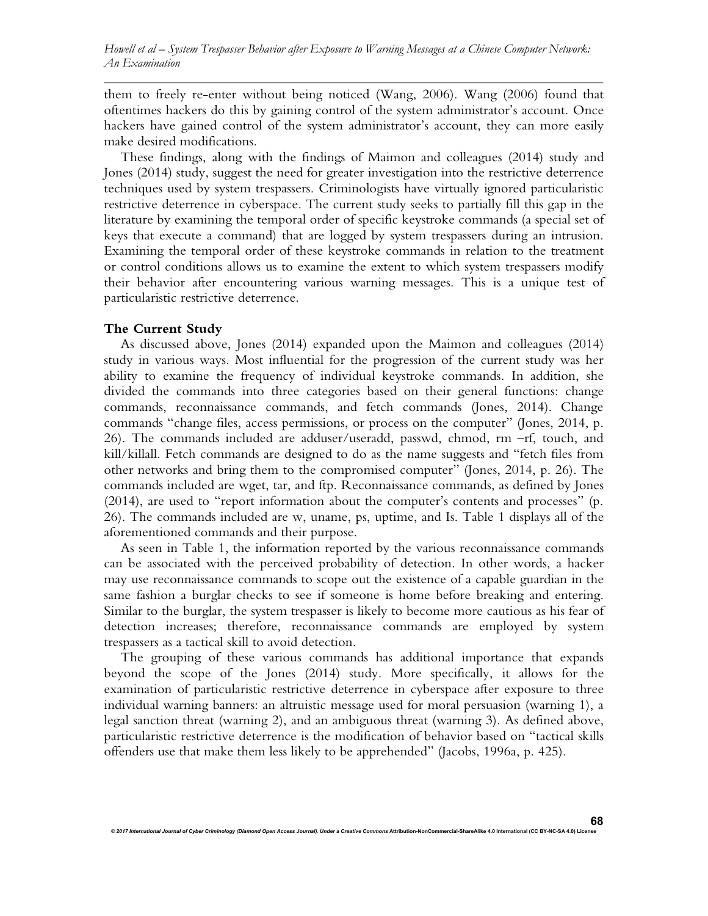them to freely re-enter without being noticed (Wang, 2006). Wang (2006) found that oftentimes hackers do this by gaining control of the system administrator's account. Once hackers have gained control of the system administrator's account, they can more easily make desired modifications.

These findings, along with the findings of Maimon and colleagues (2014) study and Jones (2014) study, suggest the need for greater investigation into the restrictive deterrence techniques used by system trespassers. Criminologists have virtually ignored particularistic restrictive deterrence in cyberspace. The current study seeks to partially fill this gap in the literature by examining the temporal order of specific keystroke commands (a special set of keys that execute a command) that are logged by system trespassers during an intrusion. Examining the temporal order of these keystroke commands in relation to the treatment or control conditions allows us to examine the extent to which system trespassers modify their behavior after encountering various warning messages. This is a unique test of particularistic restrictive deterrence.

#### **The Current Study**

As discussed above, Jones (2014) expanded upon the Maimon and colleagues (2014) study in various ways. Most influential for the progression of the current study was her ability to examine the frequency of individual keystroke commands. In addition, she divided the commands into three categories based on their general functions: change commands, reconnaissance commands, and fetch commands (Jones, 2014). Change commands "change files, access permissions, or process on the computer" (Jones, 2014, p. 26). The commands included are adduser/useradd, passwd, chmod, rm –rf, touch, and kill/killall. Fetch commands are designed to do as the name suggests and "fetch files from other networks and bring them to the compromised computer" (Jones, 2014, p. 26). The commands included are wget, tar, and ftp. Reconnaissance commands, as defined by Jones (2014), are used to "report information about the computer's contents and processes" (p. 26). The commands included are w, uname, ps, uptime, and Is. Table 1 displays all of the aforementioned commands and their purpose.

As seen in Table 1, the information reported by the various reconnaissance commands can be associated with the perceived probability of detection. In other words, a hacker may use reconnaissance commands to scope out the existence of a capable guardian in the same fashion a burglar checks to see if someone is home before breaking and entering. Similar to the burglar, the system trespasser is likely to become more cautious as his fear of detection increases; therefore, reconnaissance commands are employed by system trespassers as a tactical skill to avoid detection.

The grouping of these various commands has additional importance that expands beyond the scope of the Jones (2014) study. More specifically, it allows for the examination of particularistic restrictive deterrence in cyberspace after exposure to three individual warning banners: an altruistic message used for moral persuasion (warning 1), a legal sanction threat (warning 2), and an ambiguous threat (warning 3). As defined above, particularistic restrictive deterrence is the modification of behavior based on "tactical skills offenders use that make them less likely to be apprehended" (Jacobs, 1996a, p. 425).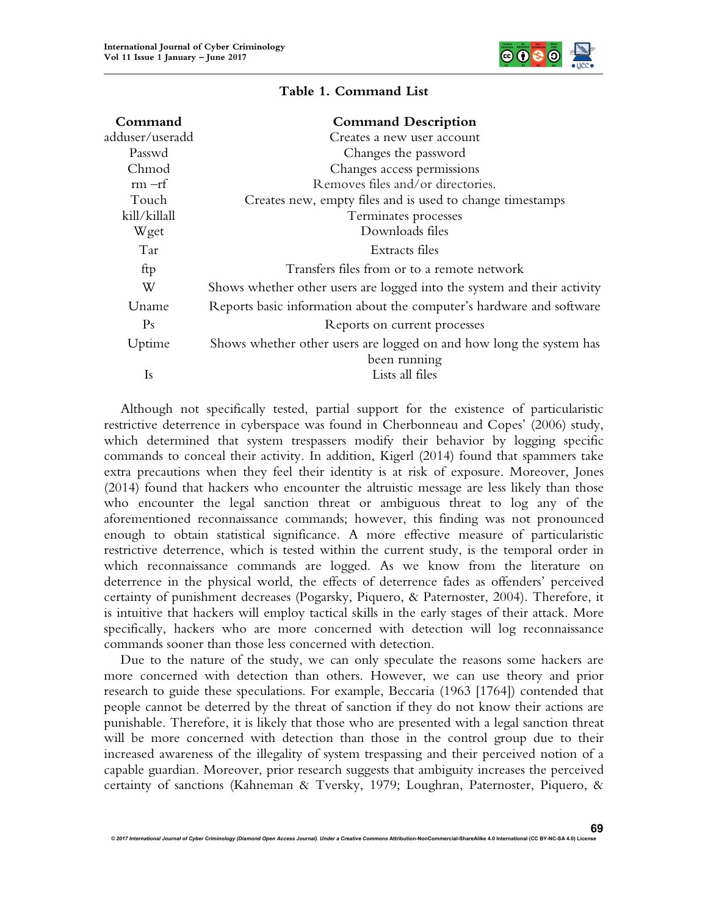

| Command         | <b>Command Description</b>                                              |
|-----------------|-------------------------------------------------------------------------|
| adduser/useradd | Creates a new user account                                              |
| Passwd          | Changes the password                                                    |
| Chmod           | Changes access permissions                                              |
| $rm-rf$         | Removes files and/or directories.                                       |
| Touch           | Creates new, empty files and is used to change timestamps               |
| kill/killall    | Terminates processes                                                    |
| Wget            | Downloads files                                                         |
| Tar             | Extracts files                                                          |
| ftp             | Transfers files from or to a remote network                             |
| W               | Shows whether other users are logged into the system and their activity |
| Uname           | Reports basic information about the computer's hardware and software    |
| Ps              | Reports on current processes                                            |
| Uptime          | Shows whether other users are logged on and how long the system has     |
|                 | been running                                                            |
| <b>Is</b>       | Lists all files                                                         |

## **Table 1. Command List**

Although not specifically tested, partial support for the existence of particularistic restrictive deterrence in cyberspace was found in Cherbonneau and Copes' (2006) study, which determined that system trespassers modify their behavior by logging specific commands to conceal their activity. In addition, Kigerl (2014) found that spammers take extra precautions when they feel their identity is at risk of exposure. Moreover, Jones (2014) found that hackers who encounter the altruistic message are less likely than those who encounter the legal sanction threat or ambiguous threat to log any of the aforementioned reconnaissance commands; however, this finding was not pronounced enough to obtain statistical significance. A more effective measure of particularistic restrictive deterrence, which is tested within the current study, is the temporal order in which reconnaissance commands are logged. As we know from the literature on deterrence in the physical world, the effects of deterrence fades as offenders' perceived certainty of punishment decreases (Pogarsky, Piquero, & Paternoster, 2004). Therefore, it is intuitive that hackers will employ tactical skills in the early stages of their attack. More specifically, hackers who are more concerned with detection will log reconnaissance commands sooner than those less concerned with detection.

Due to the nature of the study, we can only speculate the reasons some hackers are more concerned with detection than others. However, we can use theory and prior research to guide these speculations. For example, Beccaria (1963 [1764]) contended that people cannot be deterred by the threat of sanction if they do not know their actions are punishable. Therefore, it is likely that those who are presented with a legal sanction threat will be more concerned with detection than those in the control group due to their increased awareness of the illegality of system trespassing and their perceived notion of a capable guardian. Moreover, prior research suggests that ambiguity increases the perceived certainty of sanctions (Kahneman & Tversky, 1979; Loughran, Paternoster, Piquero, &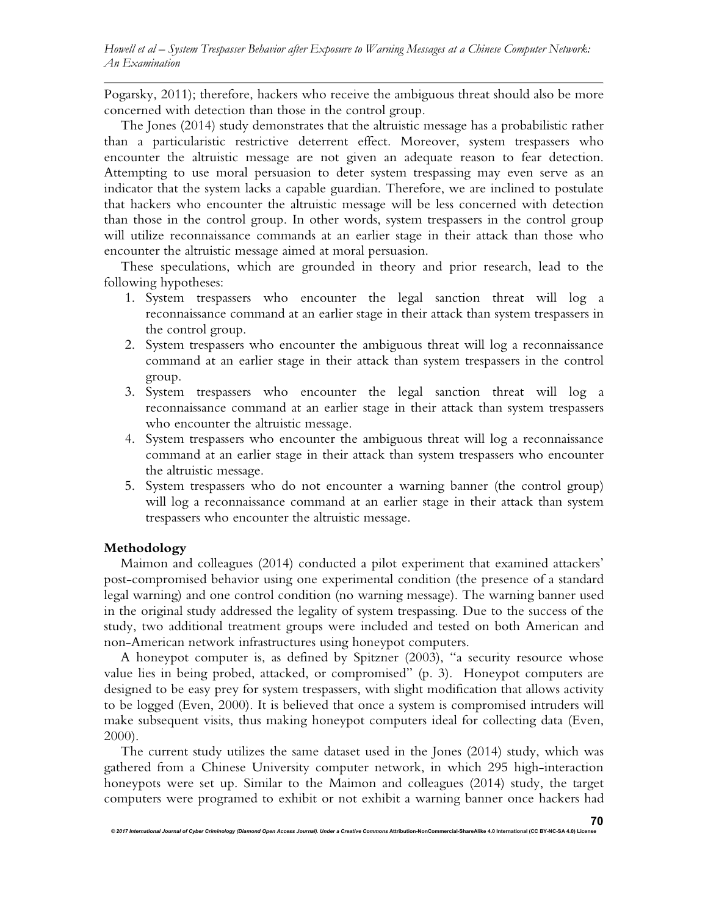Pogarsky, 2011); therefore, hackers who receive the ambiguous threat should also be more concerned with detection than those in the control group.

The Jones (2014) study demonstrates that the altruistic message has a probabilistic rather than a particularistic restrictive deterrent effect. Moreover, system trespassers who encounter the altruistic message are not given an adequate reason to fear detection. Attempting to use moral persuasion to deter system trespassing may even serve as an indicator that the system lacks a capable guardian. Therefore, we are inclined to postulate that hackers who encounter the altruistic message will be less concerned with detection than those in the control group. In other words, system trespassers in the control group will utilize reconnaissance commands at an earlier stage in their attack than those who encounter the altruistic message aimed at moral persuasion.

These speculations, which are grounded in theory and prior research, lead to the following hypotheses:

- 1. System trespassers who encounter the legal sanction threat will log a reconnaissance command at an earlier stage in their attack than system trespassers in the control group.
- 2. System trespassers who encounter the ambiguous threat will log a reconnaissance command at an earlier stage in their attack than system trespassers in the control group.
- 3. System trespassers who encounter the legal sanction threat will log a reconnaissance command at an earlier stage in their attack than system trespassers who encounter the altruistic message.
- 4. System trespassers who encounter the ambiguous threat will log a reconnaissance command at an earlier stage in their attack than system trespassers who encounter the altruistic message.
- 5. System trespassers who do not encounter a warning banner (the control group) will log a reconnaissance command at an earlier stage in their attack than system trespassers who encounter the altruistic message.

## **Methodology**

Maimon and colleagues (2014) conducted a pilot experiment that examined attackers' post-compromised behavior using one experimental condition (the presence of a standard legal warning) and one control condition (no warning message). The warning banner used in the original study addressed the legality of system trespassing. Due to the success of the study, two additional treatment groups were included and tested on both American and non-American network infrastructures using honeypot computers.

A honeypot computer is, as defined by Spitzner (2003), "a security resource whose value lies in being probed, attacked, or compromised" (p. 3). Honeypot computers are designed to be easy prey for system trespassers, with slight modification that allows activity to be logged (Even, 2000). It is believed that once a system is compromised intruders will make subsequent visits, thus making honeypot computers ideal for collecting data (Even, 2000).

The current study utilizes the same dataset used in the Jones (2014) study, which was gathered from a Chinese University computer network, in which 295 high-interaction honeypots were set up. Similar to the Maimon and colleagues (2014) study, the target computers were programed to exhibit or not exhibit a warning banner once hackers had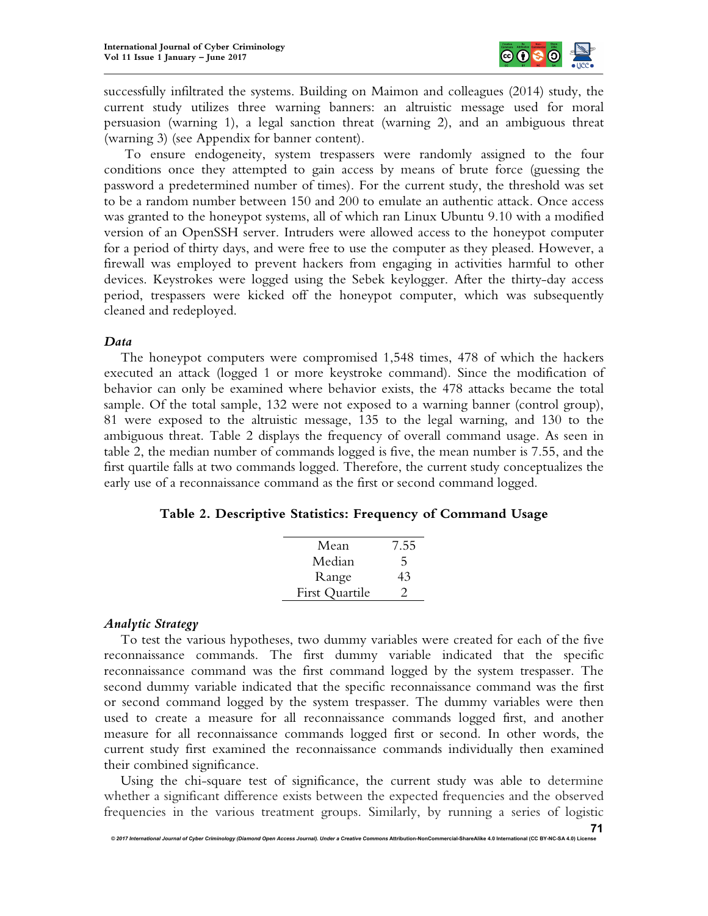

successfully infiltrated the systems. Building on Maimon and colleagues (2014) study, the current study utilizes three warning banners: an altruistic message used for moral persuasion (warning 1), a legal sanction threat (warning 2), and an ambiguous threat (warning 3) (see Appendix for banner content).

 To ensure endogeneity, system trespassers were randomly assigned to the four conditions once they attempted to gain access by means of brute force (guessing the password a predetermined number of times). For the current study, the threshold was set to be a random number between 150 and 200 to emulate an authentic attack. Once access was granted to the honeypot systems, all of which ran Linux Ubuntu 9.10 with a modified version of an OpenSSH server. Intruders were allowed access to the honeypot computer for a period of thirty days, and were free to use the computer as they pleased. However, a firewall was employed to prevent hackers from engaging in activities harmful to other devices. Keystrokes were logged using the Sebek keylogger. After the thirty-day access period, trespassers were kicked off the honeypot computer, which was subsequently cleaned and redeployed.

## *Data*

The honeypot computers were compromised 1,548 times, 478 of which the hackers executed an attack (logged 1 or more keystroke command). Since the modification of behavior can only be examined where behavior exists, the 478 attacks became the total sample. Of the total sample, 132 were not exposed to a warning banner (control group), 81 were exposed to the altruistic message, 135 to the legal warning, and 130 to the ambiguous threat. Table 2 displays the frequency of overall command usage. As seen in table 2, the median number of commands logged is five, the mean number is 7.55, and the first quartile falls at two commands logged. Therefore, the current study conceptualizes the early use of a reconnaissance command as the first or second command logged.

## **Table 2. Descriptive Statistics: Frequency of Command Usage**

| Mean           | 7.55 |
|----------------|------|
| Median         | 5    |
| Range          | 43   |
| First Quartile |      |

# *Analytic Strategy*

To test the various hypotheses, two dummy variables were created for each of the five reconnaissance commands. The first dummy variable indicated that the specific reconnaissance command was the first command logged by the system trespasser. The second dummy variable indicated that the specific reconnaissance command was the first or second command logged by the system trespasser. The dummy variables were then used to create a measure for all reconnaissance commands logged first, and another measure for all reconnaissance commands logged first or second. In other words, the current study first examined the reconnaissance commands individually then examined their combined significance.

Using the chi-square test of significance, the current study was able to determine whether a significant difference exists between the expected frequencies and the observed frequencies in the various treatment groups. Similarly, by running a series of logistic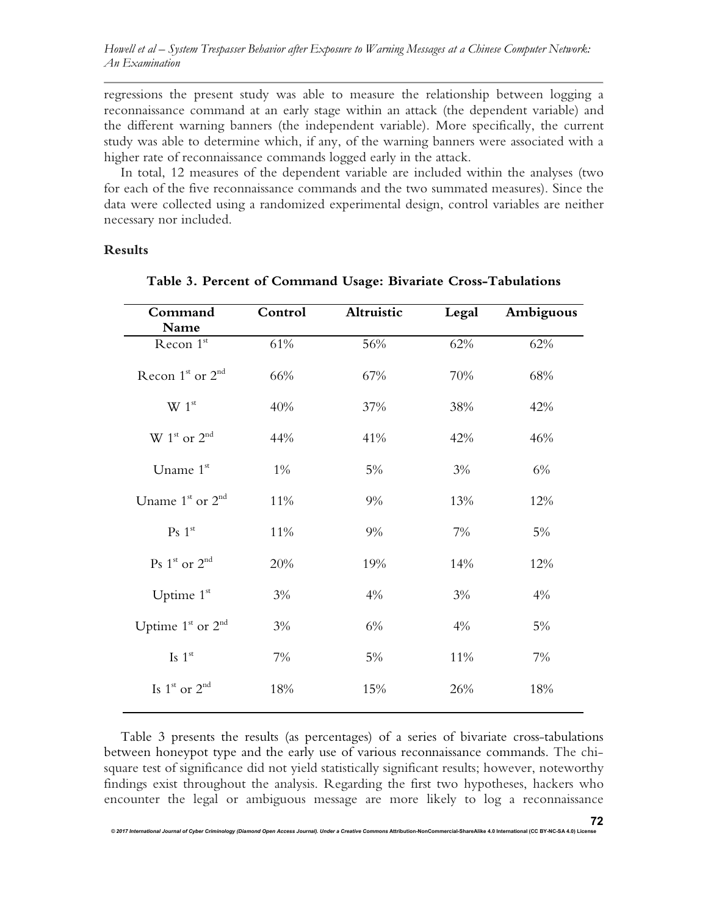*Howell et al – System Trespasser Behavior after Exposure to Warning Messages at a Chinese Computer Network: An Examination* 

regressions the present study was able to measure the relationship between logging a reconnaissance command at an early stage within an attack (the dependent variable) and the different warning banners (the independent variable). More specifically, the current study was able to determine which, if any, of the warning banners were associated with a higher rate of reconnaissance commands logged early in the attack.

In total, 12 measures of the dependent variable are included within the analyses (two for each of the five reconnaissance commands and the two summated measures). Since the data were collected using a randomized experimental design, control variables are neither necessary nor included.

## **Results**

| Command                                         | Control | Altruistic<br>Legal |     | Ambiguous |  |
|-------------------------------------------------|---------|---------------------|-----|-----------|--|
| Name                                            |         |                     |     |           |  |
| Recon 1st                                       | 61%     | 56%                 | 62% | 62%       |  |
| Recon $1^{\text{st}}$ or $2^{\text{nd}}$        | 66%     | 67%                 | 70% | 68%       |  |
| W 1 <sup>st</sup>                               | 40%     | 37%                 | 38% | 42%       |  |
| $\mathbf{W}$ $1^{\text{st}}$ or $2^{\text{nd}}$ | 44%     | 41%                 | 42% | 46%       |  |
| Uname 1st                                       | $1\%$   | 5%                  | 3%  | 6%        |  |
| Uname 1 <sup>st</sup> or 2 <sup>nd</sup>        | 11%     | 9%                  | 13% | 12%       |  |
| Ps 1 <sup>st</sup>                              | 11%     | 9%                  | 7%  | 5%        |  |
| $Ps$ 1 <sup>st</sup> or 2 <sup>nd</sup>         | 20%     | 19%                 | 14% | 12%       |  |
| Uptime $1st$                                    | 3%      | 4%                  | 3%  | 4%        |  |
| Uptime $1st$ or $2nd$                           | 3%      | 6%                  | 4%  | 5%        |  |
| Is $1^{\rm st}$                                 | 7%      | 5%                  | 11% | 7%        |  |
| Is $1^{\text{st}}$ or $2^{\text{nd}}$           | 18%     | 15%                 | 26% | 18%       |  |
|                                                 |         |                     |     |           |  |

**Table 3. Percent of Command Usage: Bivariate Cross-Tabulations**

Table 3 presents the results (as percentages) of a series of bivariate cross-tabulations between honeypot type and the early use of various reconnaissance commands. The chisquare test of significance did not yield statistically significant results; however, noteworthy findings exist throughout the analysis. Regarding the first two hypotheses, hackers who encounter the legal or ambiguous message are more likely to log a reconnaissance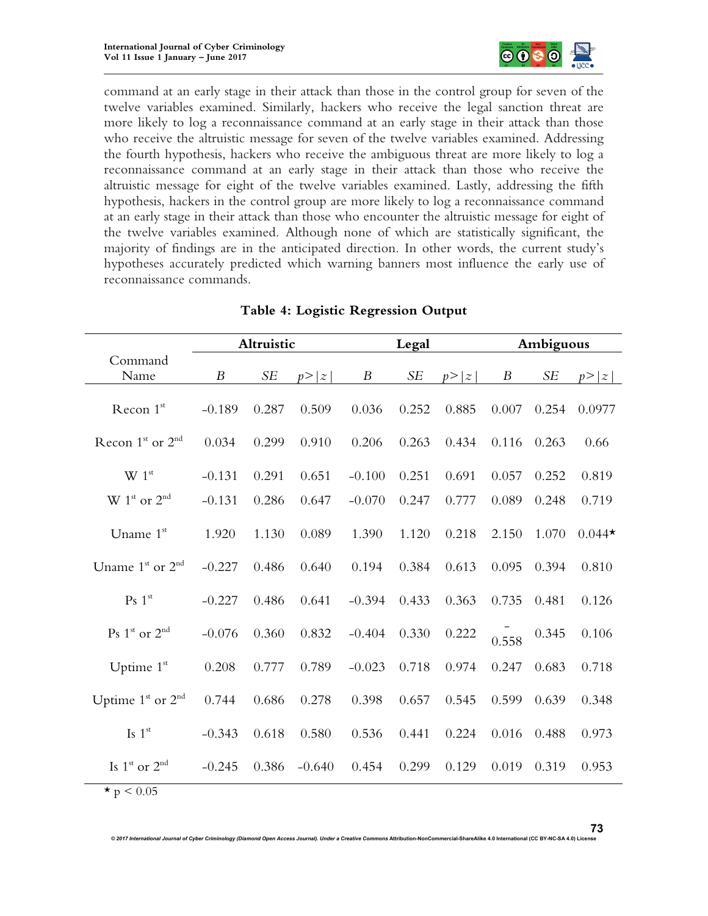

command at an early stage in their attack than those in the control group for seven of the twelve variables examined. Similarly, hackers who receive the legal sanction threat are more likely to log a reconnaissance command at an early stage in their attack than those who receive the altruistic message for seven of the twelve variables examined. Addressing the fourth hypothesis, hackers who receive the ambiguous threat are more likely to log a reconnaissance command at an early stage in their attack than those who receive the altruistic message for eight of the twelve variables examined. Lastly, addressing the fifth hypothesis, hackers in the control group are more likely to log a reconnaissance command at an early stage in their attack than those who encounter the altruistic message for eight of the twelve variables examined. Although none of which are statistically significant, the majority of findings are in the anticipated direction. In other words, the current study's hypotheses accurately predicted which warning banners most influence the early use of reconnaissance commands.

|                                          | Altruistic       |       |          |                  | Legal |        |       | Ambiguous |          |  |
|------------------------------------------|------------------|-------|----------|------------------|-------|--------|-------|-----------|----------|--|
| Command                                  |                  |       |          |                  |       |        |       |           |          |  |
| Name                                     | $\boldsymbol{B}$ | SE    | p >  z   | $\boldsymbol{B}$ | SE    | p >  z | B     | <b>SE</b> | p >  z   |  |
| Recon 1st                                | $-0.189$         | 0.287 | 0.509    | 0.036            | 0.252 | 0.885  | 0.007 | 0.254     | 0.0977   |  |
| Recon $1^{\text{st}}$ or $2^{\text{nd}}$ | 0.034            | 0.299 | 0.910    | 0.206            | 0.263 | 0.434  | 0.116 | 0.263     | 0.66     |  |
| W 1 <sup>st</sup>                        | $-0.131$         | 0.291 | 0.651    | $-0.100$         | 0.251 | 0.691  | 0.057 | 0.252     | 0.819    |  |
| $W 1st$ or $2nd$                         | $-0.131$         | 0.286 | 0.647    | $-0.070$         | 0.247 | 0.777  | 0.089 | 0.248     | 0.719    |  |
| Uname 1st                                | 1.920            | 1.130 | 0.089    | 1.390            | 1.120 | 0.218  | 2.150 | 1.070     | $0.044*$ |  |
| Uname $1st$ or $2nd$                     | $-0.227$         | 0.486 | 0.640    | 0.194            | 0.384 | 0.613  | 0.095 | 0.394     | 0.810    |  |
| Ps 1 <sup>st</sup>                       | $-0.227$         | 0.486 | 0.641    | $-0.394$         | 0.433 | 0.363  | 0.735 | 0.481     | 0.126    |  |
| $Ps 1st$ or $2nd$                        | $-0.076$         | 0.360 | 0.832    | $-0.404$         | 0.330 | 0.222  | 0.558 | 0.345     | 0.106    |  |
| Uptime 1st                               | 0.208            | 0.777 | 0.789    | $-0.023$         | 0.718 | 0.974  | 0.247 | 0.683     | 0.718    |  |
| Uptime $1st$ or $2nd$                    | 0.744            | 0.686 | 0.278    | 0.398            | 0.657 | 0.545  | 0.599 | 0.639     | 0.348    |  |
| Is $1st$                                 | $-0.343$         | 0.618 | 0.580    | 0.536            | 0.441 | 0.224  | 0.016 | 0.488     | 0.973    |  |
| Is $1^{\text{st}}$ or $2^{\text{nd}}$    | $-0.245$         | 0.386 | $-0.640$ | 0.454            | 0.299 | 0.129  | 0.019 | 0.319     | 0.953    |  |
| $\star$ p < 0.05                         |                  |       |          |                  |       |        |       |           |          |  |

## **Table 4: Logistic Regression Output**

*© 2017 International Journal of Cyber Criminology (Diamond Open Access Journal). Under a Creative Commons* **Attribution-NonCommercial-ShareAlike 4.0 International (CC BY-NC-SA 4.0) License**

**73**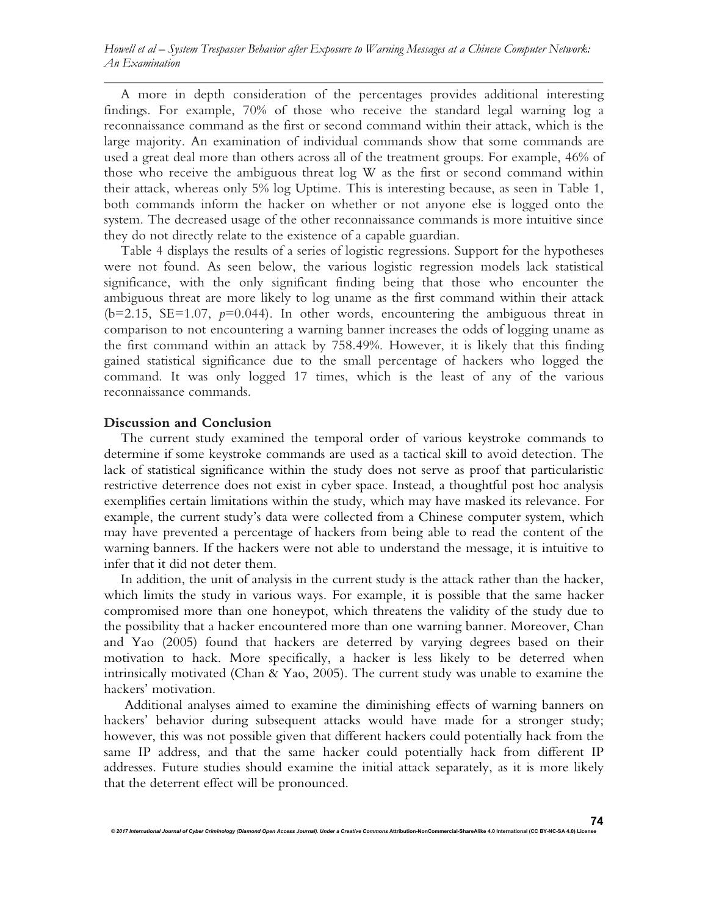A more in depth consideration of the percentages provides additional interesting findings. For example, 70% of those who receive the standard legal warning log a reconnaissance command as the first or second command within their attack, which is the large majority. An examination of individual commands show that some commands are used a great deal more than others across all of the treatment groups. For example, 46% of those who receive the ambiguous threat log W as the first or second command within their attack, whereas only 5% log Uptime. This is interesting because, as seen in Table 1, both commands inform the hacker on whether or not anyone else is logged onto the system. The decreased usage of the other reconnaissance commands is more intuitive since they do not directly relate to the existence of a capable guardian.

Table 4 displays the results of a series of logistic regressions. Support for the hypotheses were not found. As seen below, the various logistic regression models lack statistical significance, with the only significant finding being that those who encounter the ambiguous threat are more likely to log uname as the first command within their attack  $(b=2.15, SE=1.07, p=0.044)$ . In other words, encountering the ambiguous threat in comparison to not encountering a warning banner increases the odds of logging uname as the first command within an attack by 758.49%. However, it is likely that this finding gained statistical significance due to the small percentage of hackers who logged the command. It was only logged 17 times, which is the least of any of the various reconnaissance commands.

## **Discussion and Conclusion**

The current study examined the temporal order of various keystroke commands to determine if some keystroke commands are used as a tactical skill to avoid detection. The lack of statistical significance within the study does not serve as proof that particularistic restrictive deterrence does not exist in cyber space. Instead, a thoughtful post hoc analysis exemplifies certain limitations within the study, which may have masked its relevance. For example, the current study's data were collected from a Chinese computer system, which may have prevented a percentage of hackers from being able to read the content of the warning banners. If the hackers were not able to understand the message, it is intuitive to infer that it did not deter them.

In addition, the unit of analysis in the current study is the attack rather than the hacker, which limits the study in various ways. For example, it is possible that the same hacker compromised more than one honeypot, which threatens the validity of the study due to the possibility that a hacker encountered more than one warning banner. Moreover, Chan and Yao (2005) found that hackers are deterred by varying degrees based on their motivation to hack. More specifically, a hacker is less likely to be deterred when intrinsically motivated (Chan & Yao, 2005). The current study was unable to examine the hackers' motivation.

 Additional analyses aimed to examine the diminishing effects of warning banners on hackers' behavior during subsequent attacks would have made for a stronger study; however, this was not possible given that different hackers could potentially hack from the same IP address, and that the same hacker could potentially hack from different IP addresses. Future studies should examine the initial attack separately, as it is more likely that the deterrent effect will be pronounced.

*© 2017 International Journal of Cyber Criminology (Diamond Open Access Journal). Under a Creative Commons* **Attribution-NonCommercial-ShareAlike 4.0 International (CC BY-NC-SA 4.0) License**

**74**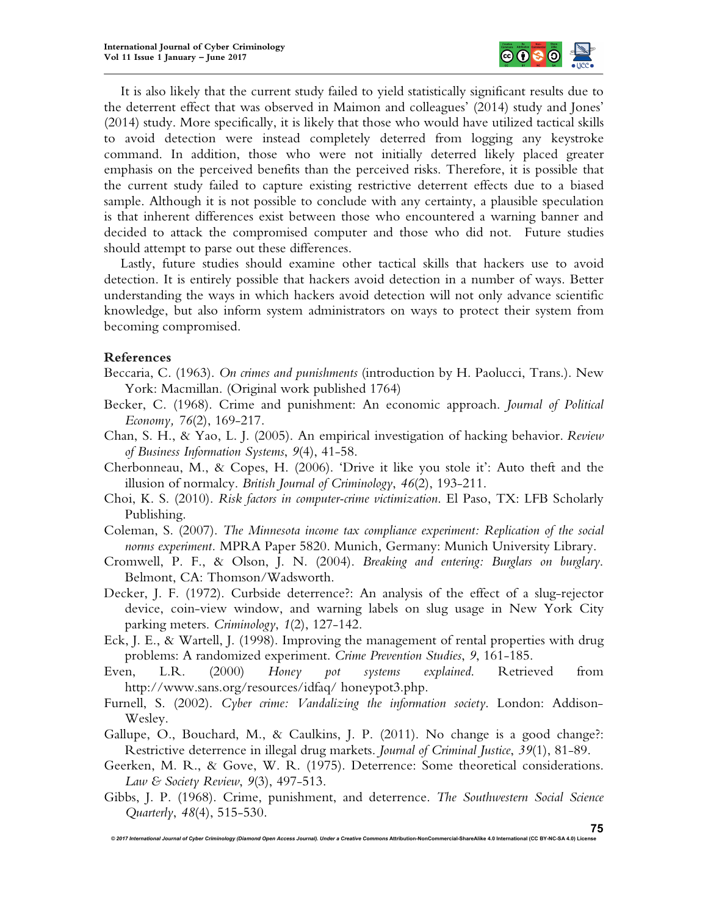

It is also likely that the current study failed to yield statistically significant results due to the deterrent effect that was observed in Maimon and colleagues' (2014) study and Jones' (2014) study. More specifically, it is likely that those who would have utilized tactical skills to avoid detection were instead completely deterred from logging any keystroke command. In addition, those who were not initially deterred likely placed greater emphasis on the perceived benefits than the perceived risks. Therefore, it is possible that the current study failed to capture existing restrictive deterrent effects due to a biased sample. Although it is not possible to conclude with any certainty, a plausible speculation is that inherent differences exist between those who encountered a warning banner and decided to attack the compromised computer and those who did not. Future studies should attempt to parse out these differences.

Lastly, future studies should examine other tactical skills that hackers use to avoid detection. It is entirely possible that hackers avoid detection in a number of ways. Better understanding the ways in which hackers avoid detection will not only advance scientific knowledge, but also inform system administrators on ways to protect their system from becoming compromised.

## **References**

- Beccaria, C. (1963). *On crimes and punishments* (introduction by H. Paolucci, Trans.). New York: Macmillan. (Original work published 1764)
- Becker, C. (1968). Crime and punishment: An economic approach. *Journal of Political Economy, 76*(2), 169-217.
- Chan, S. H., & Yao, L. J. (2005). An empirical investigation of hacking behavior. *Review of Business Information Systems*, *9*(4), 41-58.
- Cherbonneau, M., & Copes, H. (2006). 'Drive it like you stole it': Auto theft and the illusion of normalcy. *British Journal of Criminology*, *46*(2), 193-211.
- Choi, K. S. (2010). *Risk factors in computer-crime victimization*. El Paso, TX: LFB Scholarly Publishing.
- Coleman, S. (2007). *The Minnesota income tax compliance experiment: Replication of the social norms experiment.* MPRA Paper 5820. Munich, Germany: Munich University Library.
- Cromwell, P. F., & Olson, J. N. (2004). *Breaking and entering: Burglars on burglary*. Belmont, CA: Thomson/Wadsworth.
- Decker, J. F. (1972). Curbside deterrence?: An analysis of the effect of a slug-rejector device, coin-view window, and warning labels on slug usage in New York City parking meters. *Criminology*, *1*(2), 127-142.
- Eck, J. E., & Wartell, J. (1998). Improving the management of rental properties with drug problems: A randomized experiment. *Crime Prevention Studies*, *9*, 161-185.
- Even, L.R. (2000) *Honey pot systems explained*. Retrieved from http://www.sans.org/resources/idfaq/ honeypot3.php.
- Furnell, S. (2002). *Cyber crime: Vandalizing the information society*. London: Addison-Wesley.
- Gallupe, O., Bouchard, M., & Caulkins, J. P. (2011). No change is a good change?: Restrictive deterrence in illegal drug markets. *Journal of Criminal Justice*, *39*(1), 81-89.
- Geerken, M. R., & Gove, W. R. (1975). Deterrence: Some theoretical considerations. *Law & Society Review*, *9*(3), 497-513.
- Gibbs, J. P. (1968). Crime, punishment, and deterrence. *The Southwestern Social Science Quarterly*, *48*(4), 515-530.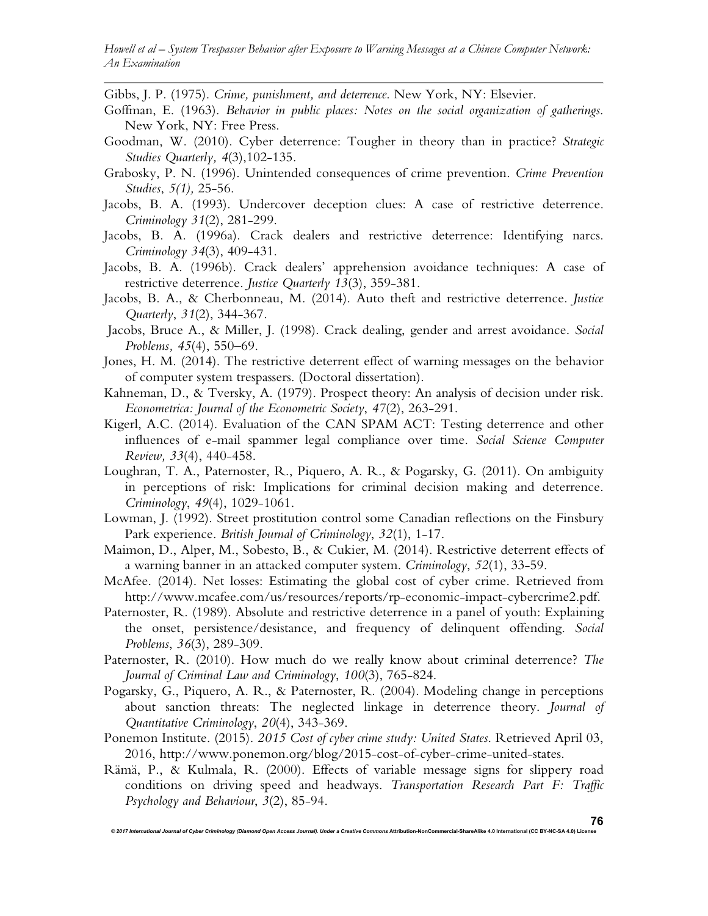*Howell et al – System Trespasser Behavior after Exposure to Warning Messages at a Chinese Computer Network: An Examination* 

Gibbs, J. P. (1975). *Crime, punishment, and deterrence*. New York, NY: Elsevier.

- Goffman, E. (1963). *Behavior in public places: Notes on the social organization of gatherings*. New York, NY: Free Press.
- Goodman, W. (2010). Cyber deterrence: Tougher in theory than in practice? *Strategic Studies Quarterly, 4*(3),102-135.
- Grabosky, P. N. (1996). Unintended consequences of crime prevention. *Crime Prevention Studies*, *5(1),* 25-56.
- Jacobs, B. A. (1993). Undercover deception clues: A case of restrictive deterrence. *Criminology 31*(2), 281-299.
- Jacobs, B. A. (1996a). Crack dealers and restrictive deterrence: Identifying narcs. *Criminology 34*(3), 409-431.
- Jacobs, B. A. (1996b). Crack dealers' apprehension avoidance techniques: A case of restrictive deterrence. *Justice Quarterly 13*(3), 359-381.
- Jacobs, B. A., & Cherbonneau, M. (2014). Auto theft and restrictive deterrence. *Justice Quarterly*, *31*(2), 344-367.
- Jacobs, Bruce A., & Miller, J. (1998). Crack dealing, gender and arrest avoidance. *Social Problems, 45*(4), 550–69.
- Jones, H. M. (2014). The restrictive deterrent effect of warning messages on the behavior of computer system trespassers. (Doctoral dissertation).
- Kahneman, D., & Tversky, A. (1979). Prospect theory: An analysis of decision under risk. *Econometrica: Journal of the Econometric Society*, *47*(2), 263-291.
- Kigerl, A.C. (2014). Evaluation of the CAN SPAM ACT: Testing deterrence and other influences of e-mail spammer legal compliance over time. *Social Science Computer Review, 33*(4), 440-458.
- Loughran, T. A., Paternoster, R., Piquero, A. R., & Pogarsky, G. (2011). On ambiguity in perceptions of risk: Implications for criminal decision making and deterrence. *Criminology*, *49*(4), 1029-1061.
- Lowman, J. (1992). Street prostitution control some Canadian reflections on the Finsbury Park experience. *British Journal of Criminology*, *32*(1), 1-17.
- Maimon, D., Alper, M., Sobesto, B., & Cukier, M. (2014). Restrictive deterrent effects of a warning banner in an attacked computer system. *Criminology*, *52*(1), 33-59.
- McAfee. (2014). Net losses: Estimating the global cost of cyber crime. Retrieved from http://www.mcafee.com/us/resources/reports/rp-economic-impact-cybercrime2.pdf.
- Paternoster, R. (1989). Absolute and restrictive deterrence in a panel of youth: Explaining the onset, persistence/desistance, and frequency of delinquent offending. *Social Problems*, *36*(3), 289-309.
- Paternoster, R. (2010). How much do we really know about criminal deterrence? *The Journal of Criminal Law and Criminology*, *100*(3), 765-824.
- Pogarsky, G., Piquero, A. R., & Paternoster, R. (2004). Modeling change in perceptions about sanction threats: The neglected linkage in deterrence theory. *Journal of Quantitative Criminology*, *20*(4), 343-369.
- Ponemon Institute. (2015). *2015 Cost of cyber crime study: United States*. Retrieved April 03, 2016, http://www.ponemon.org/blog/2015-cost-of-cyber-crime-united-states.
- Rämä, P., & Kulmala, R. (2000). Effects of variable message signs for slippery road conditions on driving speed and headways. *Transportation Research Part F: Traffic Psychology and Behaviour*, *3*(2), 85-94.

© 2017 International Journal of Cyber Criminology (Diamond Open Access Journal). Under a Creative Commons Attribution-NonCommercial-ShareAlike 4.0 International (CC BY-NC-SA 4.0) Lice

**76**